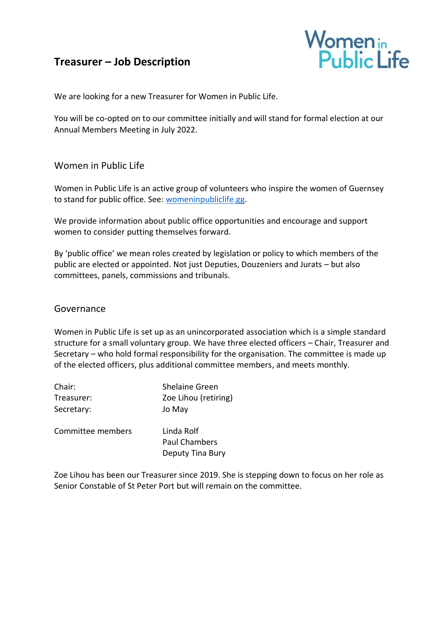# **Treasurer – Job Description**



We are looking for a new Treasurer for Women in Public Life.

You will be co-opted on to our committee initially and will stand for formal election at our Annual Members Meeting in July 2022.

# Women in Public Life

Women in Public Life is an active group of volunteers who inspire the women of Guernsey to stand for public office. See: [womeninpubliclife.gg.](https://womeninpubliclife.gg/)

We provide information about public office opportunities and encourage and support women to consider putting themselves forward.

By 'public office' we mean roles created by legislation or policy to which members of the public are elected or appointed. Not just Deputies, Douzeniers and Jurats – but also committees, panels, commissions and tribunals.

#### Governance

Women in Public Life is set up as an unincorporated association which is a simple standard structure for a small voluntary group. We have three elected officers – Chair, Treasurer and Secretary – who hold formal responsibility for the organisation. The committee is made up of the elected officers, plus additional committee members, and meets monthly.

| Chair:            | <b>Shelaine Green</b>              |
|-------------------|------------------------------------|
| Treasurer:        | Zoe Lihou (retiring)               |
| Secretary:        | Jo May                             |
| Committee members | Linda Rolf<br><b>Paul Chambers</b> |

Zoe Lihou has been our Treasurer since 2019. She is stepping down to focus on her role as Senior Constable of St Peter Port but will remain on the committee.

Deputy Tina Bury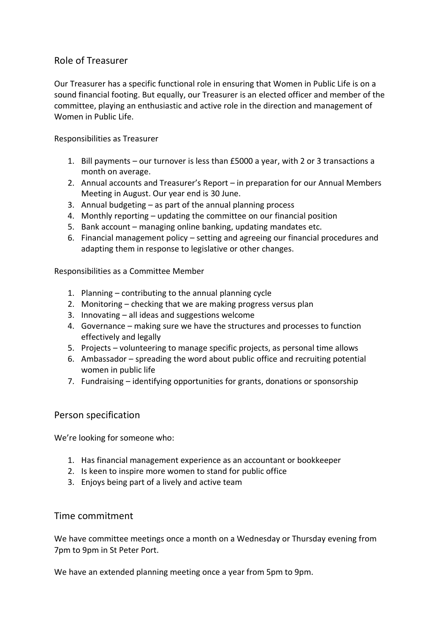# Role of Treasurer

Our Treasurer has a specific functional role in ensuring that Women in Public Life is on a sound financial footing. But equally, our Treasurer is an elected officer and member of the committee, playing an enthusiastic and active role in the direction and management of Women in Public Life.

Responsibilities as Treasurer

- 1. Bill payments our turnover is less than £5000 a year, with 2 or 3 transactions a month on average.
- 2. Annual accounts and Treasurer's Report in preparation for our Annual Members Meeting in August. Our year end is 30 June.
- 3. Annual budgeting as part of the annual planning process
- 4. Monthly reporting updating the committee on our financial position
- 5. Bank account managing online banking, updating mandates etc.
- 6. Financial management policy setting and agreeing our financial procedures and adapting them in response to legislative or other changes.

Responsibilities as a Committee Member

- 1. Planning contributing to the annual planning cycle
- 2. Monitoring checking that we are making progress versus plan
- 3. Innovating all ideas and suggestions welcome
- 4. Governance making sure we have the structures and processes to function effectively and legally
- 5. Projects volunteering to manage specific projects, as personal time allows
- 6. Ambassador spreading the word about public office and recruiting potential women in public life
- 7. Fundraising identifying opportunities for grants, donations or sponsorship

#### Person specification

We're looking for someone who:

- 1. Has financial management experience as an accountant or bookkeeper
- 2. Is keen to inspire more women to stand for public office
- 3. Enjoys being part of a lively and active team

#### Time commitment

We have committee meetings once a month on a Wednesday or Thursday evening from 7pm to 9pm in St Peter Port.

We have an extended planning meeting once a year from 5pm to 9pm.